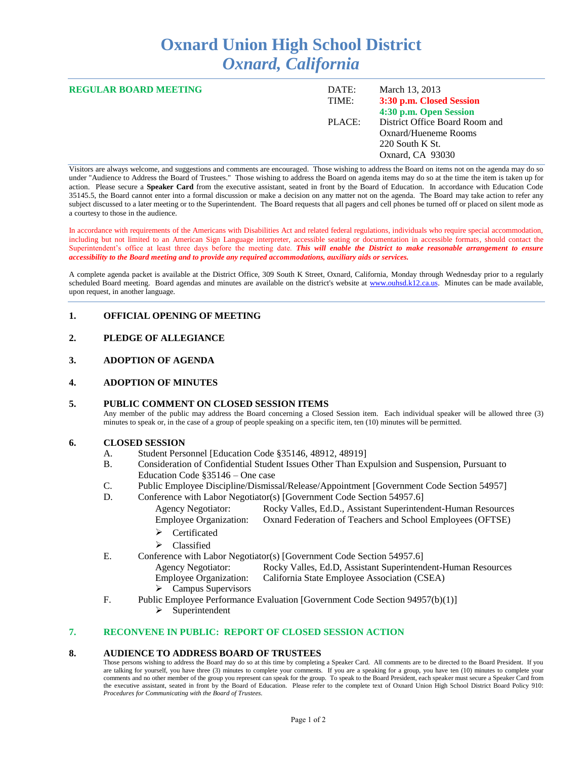# **Oxnard Union High School District** *Oxnard, California*

| <b>REGULAR BOARD MEETING</b> | DATE:<br>TIME: | March 13, 2013<br>3:30 p.m. Closed Session<br>4:30 p.m. Open Session                            |
|------------------------------|----------------|-------------------------------------------------------------------------------------------------|
|                              | PLACE:         | District Office Board Room and<br>Oxnard/Hueneme Rooms<br>$220$ South K St.<br>Oxnard, CA 93030 |

Visitors are always welcome, and suggestions and comments are encouraged. Those wishing to address the Board on items not on the agenda may do so under "Audience to Address the Board of Trustees." Those wishing to address the Board on agenda items may do so at the time the item is taken up for action. Please secure a **Speaker Card** from the executive assistant, seated in front by the Board of Education. In accordance with Education Code 35145.5, the Board cannot enter into a formal discussion or make a decision on any matter not on the agenda. The Board may take action to refer any subject discussed to a later meeting or to the Superintendent. The Board requests that all pagers and cell phones be turned off or placed on silent mode as a courtesy to those in the audience.

In accordance with requirements of the Americans with Disabilities Act and related federal regulations, individuals who require special accommodation, including but not limited to an American Sign Language interpreter, accessible seating or documentation in accessible formats, should contact the Superintendent's office at least three days before the meeting date. *This will enable the District to make reasonable arrangement to ensure accessibility to the Board meeting and to provide any required accommodations, auxiliary aids or services.* 

A complete agenda packet is available at the District Office, 309 South K Street, Oxnard, California, Monday through Wednesday prior to a regularly scheduled Board meeting. Board agendas and minutes are available on the district's website at [www.ouhsd.k12.ca.us.](http://www.ouhsd.k12.ca.us/)Minutes can be made available, upon request, in another language.

# **1. OFFICIAL OPENING OF MEETING**

- **2. PLEDGE OF ALLEGIANCE**
- **3. ADOPTION OF AGENDA**

#### **4. ADOPTION OF MINUTES**

#### **5. PUBLIC COMMENT ON CLOSED SESSION ITEMS**

Any member of the public may address the Board concerning a Closed Session item. Each individual speaker will be allowed three (3) minutes to speak or, in the case of a group of people speaking on a specific item, ten (10) minutes will be permitted.

#### **6. CLOSED SESSION**

- A. Student Personnel [Education Code §35146, 48912, 48919]<br>B. Consideration of Confidential Student Issues Other Than Ex
- B. Consideration of Confidential Student Issues Other Than Expulsion and Suspension, Pursuant to Education Code §35146 – One case
- C. Public Employee Discipline/Dismissal/Release/Appointment [Government Code Section 54957]
- D. Conference with Labor Negotiator(s) [Government Code Section 54957.6]
	- Agency Negotiator: Rocky Valles, Ed.D., Assistant Superintendent-Human Resources Employee Organization: Oxnard Federation of Teachers and School Employees (OFTSE)
		- > Certificated
		- > Classified
- E. Conference with Labor Negotiator(s) [Government Code Section 54957.6]
	- Agency Negotiator: Rocky Valles, Ed.D, Assistant Superintendent-Human Resources Employee Organization: California State Employee Association (CSEA)
		- $\triangleright$  Campus Supervisors
- F. Public Employee Performance Evaluation [Government Code Section 94957(b)(1)]
	- $\triangleright$  Superintendent

# **7. RECONVENE IN PUBLIC: REPORT OF CLOSED SESSION ACTION**

#### **8. AUDIENCE TO ADDRESS BOARD OF TRUSTEES**

Those persons wishing to address the Board may do so at this time by completing a Speaker Card. All comments are to be directed to the Board President. If you are talking for yourself, you have three (3) minutes to complete your comments. If you are a speaking for a group, you have ten (10) minutes to complete your comments and no other member of the group you represent can speak for the group. To speak to the Board President, each speaker must secure a Speaker Card from the executive assistant, seated in front by the Board of Education. Please refer to the complete text of Oxnard Union High School District Board Policy 910: *Procedures for Communicating with the Board of Trustees.*